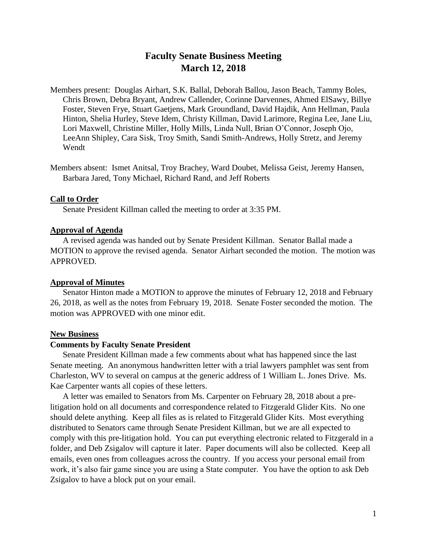# **Faculty Senate Business Meeting March 12, 2018**

Members present: Douglas Airhart, S.K. Ballal, Deborah Ballou, Jason Beach, Tammy Boles, Chris Brown, Debra Bryant, Andrew Callender, Corinne Darvennes, Ahmed ElSawy, Billye Foster, Steven Frye, Stuart Gaetjens, Mark Groundland, David Hajdik, Ann Hellman, Paula Hinton, Shelia Hurley, Steve Idem, Christy Killman, David Larimore, Regina Lee, Jane Liu, Lori Maxwell, Christine Miller, Holly Mills, Linda Null, Brian O'Connor, Joseph Ojo, LeeAnn Shipley, Cara Sisk, Troy Smith, Sandi Smith-Andrews, Holly Stretz, and Jeremy Wendt

Members absent: Ismet Anitsal, Troy Brachey, Ward Doubet, Melissa Geist, Jeremy Hansen, Barbara Jared, Tony Michael, Richard Rand, and Jeff Roberts

## **Call to Order**

Senate President Killman called the meeting to order at 3:35 PM.

# **Approval of Agenda**

A revised agenda was handed out by Senate President Killman. Senator Ballal made a MOTION to approve the revised agenda. Senator Airhart seconded the motion. The motion was APPROVED.

#### **Approval of Minutes**

Senator Hinton made a MOTION to approve the minutes of February 12, 2018 and February 26, 2018, as well as the notes from February 19, 2018. Senate Foster seconded the motion. The motion was APPROVED with one minor edit.

#### **New Business**

#### **Comments by Faculty Senate President**

Senate President Killman made a few comments about what has happened since the last Senate meeting. An anonymous handwritten letter with a trial lawyers pamphlet was sent from Charleston, WV to several on campus at the generic address of 1 William L. Jones Drive. Ms. Kae Carpenter wants all copies of these letters.

A letter was emailed to Senators from Ms. Carpenter on February 28, 2018 about a prelitigation hold on all documents and correspondence related to Fitzgerald Glider Kits. No one should delete anything. Keep all files as is related to Fitzgerald Glider Kits. Most everything distributed to Senators came through Senate President Killman, but we are all expected to comply with this pre-litigation hold. You can put everything electronic related to Fitzgerald in a folder, and Deb Zsigalov will capture it later. Paper documents will also be collected. Keep all emails, even ones from colleagues across the country. If you access your personal email from work, it's also fair game since you are using a State computer. You have the option to ask Deb Zsigalov to have a block put on your email.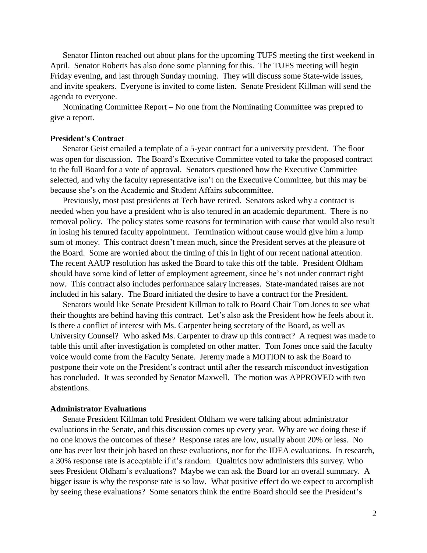Senator Hinton reached out about plans for the upcoming TUFS meeting the first weekend in April. Senator Roberts has also done some planning for this. The TUFS meeting will begin Friday evening, and last through Sunday morning. They will discuss some State-wide issues, and invite speakers. Everyone is invited to come listen. Senate President Killman will send the agenda to everyone.

Nominating Committee Report – No one from the Nominating Committee was prepred to give a report.

## **President's Contract**

Senator Geist emailed a template of a 5-year contract for a university president. The floor was open for discussion. The Board's Executive Committee voted to take the proposed contract to the full Board for a vote of approval. Senators questioned how the Executive Committee selected, and why the faculty representative isn't on the Executive Committee, but this may be because she's on the Academic and Student Affairs subcommittee.

Previously, most past presidents at Tech have retired. Senators asked why a contract is needed when you have a president who is also tenured in an academic department. There is no removal policy. The policy states some reasons for termination with cause that would also result in losing his tenured faculty appointment. Termination without cause would give him a lump sum of money. This contract doesn't mean much, since the President serves at the pleasure of the Board. Some are worried about the timing of this in light of our recent national attention. The recent AAUP resolution has asked the Board to take this off the table. President Oldham should have some kind of letter of employment agreement, since he's not under contract right now. This contract also includes performance salary increases. State-mandated raises are not included in his salary. The Board initiated the desire to have a contract for the President.

Senators would like Senate President Killman to talk to Board Chair Tom Jones to see what their thoughts are behind having this contract. Let's also ask the President how he feels about it. Is there a conflict of interest with Ms. Carpenter being secretary of the Board, as well as University Counsel? Who asked Ms. Carpenter to draw up this contract? A request was made to table this until after investigation is completed on other matter. Tom Jones once said the faculty voice would come from the Faculty Senate. Jeremy made a MOTION to ask the Board to postpone their vote on the President's contract until after the research misconduct investigation has concluded. It was seconded by Senator Maxwell. The motion was APPROVED with two abstentions.

## **Administrator Evaluations**

Senate President Killman told President Oldham we were talking about administrator evaluations in the Senate, and this discussion comes up every year. Why are we doing these if no one knows the outcomes of these? Response rates are low, usually about 20% or less. No one has ever lost their job based on these evaluations, nor for the IDEA evaluations. In research, a 30% response rate is acceptable if it's random. Qualtrics now administers this survey. Who sees President Oldham's evaluations? Maybe we can ask the Board for an overall summary. A bigger issue is why the response rate is so low. What positive effect do we expect to accomplish by seeing these evaluations? Some senators think the entire Board should see the President's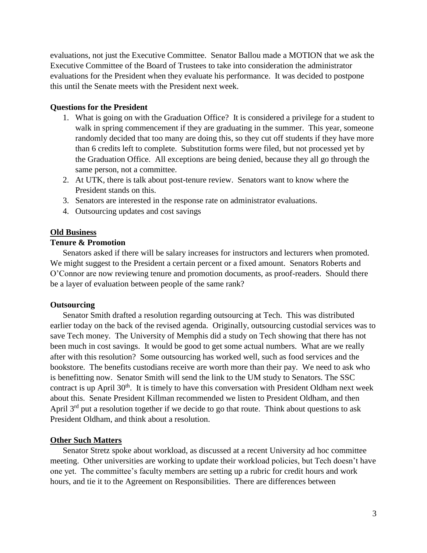evaluations, not just the Executive Committee. Senator Ballou made a MOTION that we ask the Executive Committee of the Board of Trustees to take into consideration the administrator evaluations for the President when they evaluate his performance. It was decided to postpone this until the Senate meets with the President next week.

# **Questions for the President**

- 1. What is going on with the Graduation Office? It is considered a privilege for a student to walk in spring commencement if they are graduating in the summer. This year, someone randomly decided that too many are doing this, so they cut off students if they have more than 6 credits left to complete. Substitution forms were filed, but not processed yet by the Graduation Office. All exceptions are being denied, because they all go through the same person, not a committee.
- 2. At UTK, there is talk about post-tenure review. Senators want to know where the President stands on this.
- 3. Senators are interested in the response rate on administrator evaluations.
- 4. Outsourcing updates and cost savings

# **Old Business**

# **Tenure & Promotion**

Senators asked if there will be salary increases for instructors and lecturers when promoted. We might suggest to the President a certain percent or a fixed amount. Senators Roberts and O'Connor are now reviewing tenure and promotion documents, as proof-readers. Should there be a layer of evaluation between people of the same rank?

## **Outsourcing**

Senator Smith drafted a resolution regarding outsourcing at Tech. This was distributed earlier today on the back of the revised agenda. Originally, outsourcing custodial services was to save Tech money. The University of Memphis did a study on Tech showing that there has not been much in cost savings. It would be good to get some actual numbers. What are we really after with this resolution? Some outsourcing has worked well, such as food services and the bookstore. The benefits custodians receive are worth more than their pay. We need to ask who is benefitting now. Senator Smith will send the link to the UM study to Senators. The SSC contract is up April 30<sup>th</sup>. It is timely to have this conversation with President Oldham next week about this. Senate President Killman recommended we listen to President Oldham, and then April  $3<sup>rd</sup>$  put a resolution together if we decide to go that route. Think about questions to ask President Oldham, and think about a resolution.

### **Other Such Matters**

Senator Stretz spoke about workload, as discussed at a recent University ad hoc committee meeting. Other universities are working to update their workload policies, but Tech doesn't have one yet. The committee's faculty members are setting up a rubric for credit hours and work hours, and tie it to the Agreement on Responsibilities. There are differences between